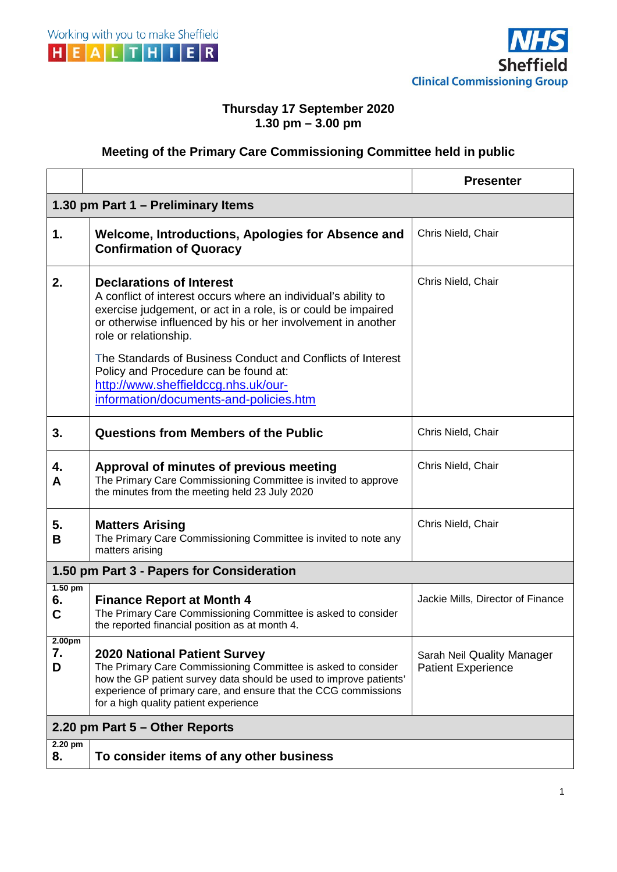



## **Thursday 17 September 2020 1.30 pm – 3.00 pm**

## **Meeting of the Primary Care Commissioning Committee held in public**

|                                           |                                                                                                                                                                                                                                                                                                                                                                                                            | <b>Presenter</b>                                               |
|-------------------------------------------|------------------------------------------------------------------------------------------------------------------------------------------------------------------------------------------------------------------------------------------------------------------------------------------------------------------------------------------------------------------------------------------------------------|----------------------------------------------------------------|
| 1.30 pm Part 1 – Preliminary Items        |                                                                                                                                                                                                                                                                                                                                                                                                            |                                                                |
| 1.                                        | Welcome, Introductions, Apologies for Absence and<br><b>Confirmation of Quoracy</b>                                                                                                                                                                                                                                                                                                                        | Chris Nield, Chair                                             |
| 2.                                        | <b>Declarations of Interest</b><br>A conflict of interest occurs where an individual's ability to<br>exercise judgement, or act in a role, is or could be impaired<br>or otherwise influenced by his or her involvement in another<br>role or relationship.<br>The Standards of Business Conduct and Conflicts of Interest<br>Policy and Procedure can be found at:<br>http://www.sheffieldccg.nhs.uk/our- | Chris Nield, Chair                                             |
|                                           | information/documents-and-policies.htm                                                                                                                                                                                                                                                                                                                                                                     |                                                                |
| 3.                                        | <b>Questions from Members of the Public</b>                                                                                                                                                                                                                                                                                                                                                                | Chris Nield, Chair                                             |
| 4.<br>A                                   | Approval of minutes of previous meeting<br>The Primary Care Commissioning Committee is invited to approve<br>the minutes from the meeting held 23 July 2020                                                                                                                                                                                                                                                | Chris Nield, Chair                                             |
| 5.<br>В                                   | <b>Matters Arising</b><br>The Primary Care Commissioning Committee is invited to note any<br>matters arising                                                                                                                                                                                                                                                                                               | Chris Nield, Chair                                             |
| 1.50 pm Part 3 - Papers for Consideration |                                                                                                                                                                                                                                                                                                                                                                                                            |                                                                |
| $1.50$ pm<br>6.<br>C                      | <b>Finance Report at Month 4</b><br>The Primary Care Commissioning Committee is asked to consider<br>the reported financial position as at month 4.                                                                                                                                                                                                                                                        | Jackie Mills, Director of Finance                              |
| 2.00 <sub>pm</sub><br>7.<br>D             | <b>2020 National Patient Survey</b><br>The Primary Care Commissioning Committee is asked to consider<br>how the GP patient survey data should be used to improve patients'<br>experience of primary care, and ensure that the CCG commissions<br>for a high quality patient experience                                                                                                                     | <b>Sarah Neil Quality Manager</b><br><b>Patient Experience</b> |
| 2.20 pm Part 5 – Other Reports            |                                                                                                                                                                                                                                                                                                                                                                                                            |                                                                |
| $2.20$ pm<br>8.                           | To consider items of any other business                                                                                                                                                                                                                                                                                                                                                                    |                                                                |